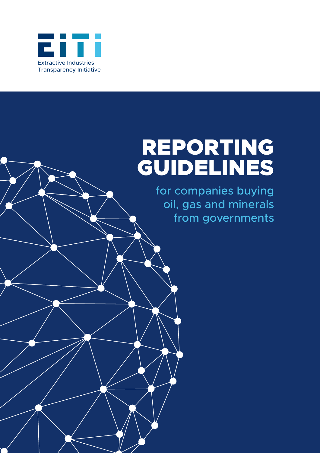

# REPORTING GUIDELINES

for companies buying oil, gas and minerals from governments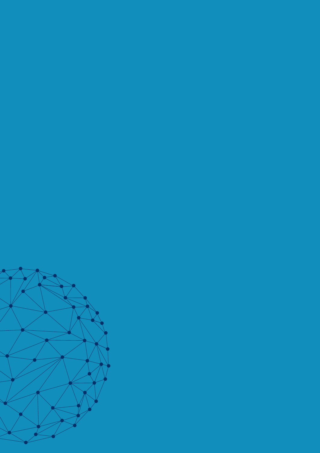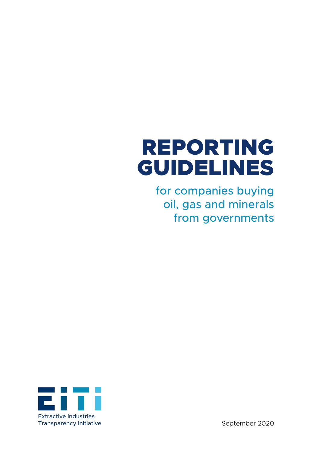# REPORTING GUIDELINES

for companies buying oil, gas and minerals from governments



September 2020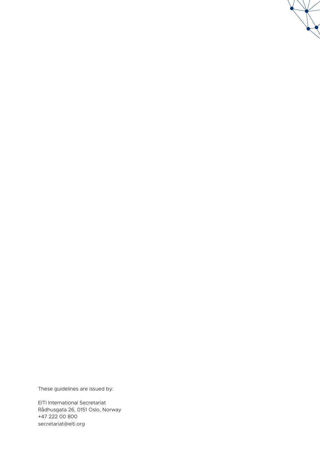These guidelines are issued by:

EITI International Secretariat Rådhusgata 26, 0151 Oslo, Norway +47 222 00 800 [secretariat@eiti.org](mailto:secretariat@eiti.org)

 $\lambda$ 

 $\blacklozenge$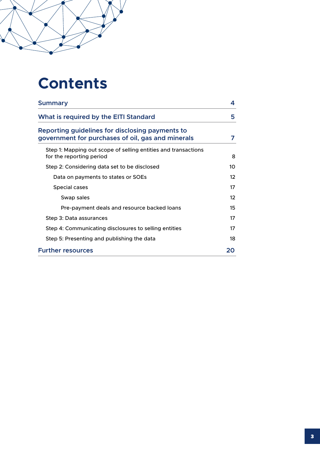### **Contents**

| <b>Summary</b>                                                                                       | 4               |
|------------------------------------------------------------------------------------------------------|-----------------|
| What is required by the EITI Standard                                                                |                 |
| Reporting guidelines for disclosing payments to<br>government for purchases of oil, gas and minerals | 7               |
| Step 1: Mapping out scope of selling entities and transactions<br>for the reporting period           | 8               |
| Step 2: Considering data set to be disclosed                                                         | 10              |
| Data on payments to states or SOEs                                                                   | 12 <sup>°</sup> |
| <b>Special cases</b>                                                                                 | 17              |
| Swap sales                                                                                           | 12 <sup>°</sup> |
| Pre-payment deals and resource backed loans                                                          | 15              |
| Step 3: Data assurances                                                                              | 17              |
| Step 4: Communicating disclosures to selling entities                                                | 17              |
| Step 5: Presenting and publishing the data                                                           | 18              |
| <b>Further resources</b>                                                                             | 20              |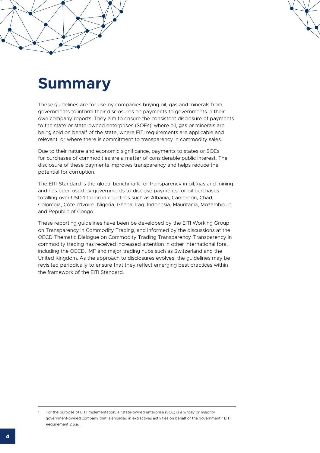## **Summary**

These guidelines are for use by companies buying oil, gas and minerals from governments to inform their disclosures on payments to governments in their own company reports. They aim to ensure the consistent disclosure of payments to the state or state-owned enterprises (SOEs)<sup>1</sup> where oil, gas or minerals are being sold on behalf of the state, where EITI requirements are applicable and relevant, or where there is commitment to transparency in commodity sales.

Due to their nature and economic significance, payments to states or SOEs for purchases of commodities are a matter of considerable public interest. The disclosure of these payments improves transparency and helps reduce the potential for corruption.

The EITI Standard is the global benchmark for transparency in oil, gas and mining, and has been used by governments to disclose payments for oil purchases totalling over USD 1 trillion in countries such as Albania, Cameroon, Chad, Colombia, Côte d'Ivoire, Nigeria, Ghana, Iraq, Indonesia, Mauritania, Mozambique and Republic of Congo.

These reporting guidelines have been be developed by the EITI Working Group on Transparency in Commodity Trading, and informed by the discussions at the OECD Thematic Dialogue on Commodity Trading Transparency. Transparency in commodity trading has received increased attention in other international fora, including the OECD, IMF and major trading hubs such as Switzerland and the United Kingdom. As the approach to disclosures evolves, the guidelines may be revisited periodically to ensure that they reflect emerging best practices within the framework of the EITI Standard.

<sup>1</sup> For the purpose of EITI implementation, a "state-owned enterprise (SOE) is a wholly or majority government-owned company that is engaged in extractives activities on behalf of the government." EITI Requirement 2.6.a.i.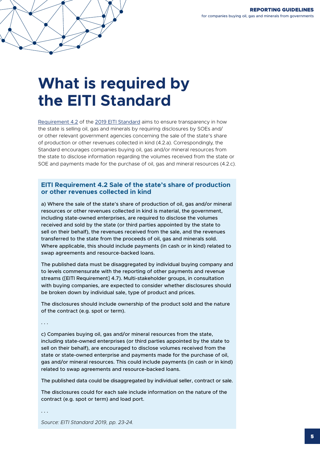### **What is required by the EITI Standard**

[Requirement 4.2](https://eiti.org/document/eiti-standard-2019#r4-2) of the [2019 EITI Standard](https://eiti.org/document/eiti-standard-2019) aims to ensure transparency in how the state is selling oil, gas and minerals by requiring disclosures by SOEs and/ or other relevant government agencies concerning the sale of the state's share of production or other revenues collected in kind (4.2.a). Correspondingly, the Standard encourages companies buying oil, gas and/or mineral resources from the state to disclose information regarding the volumes received from the state or SOE and payments made for the purchase of oil, gas and mineral resources (4.2.c).

#### **EITI Requirement 4.2 Sale of the state's share of production or other revenues collected in kind**

a) Where the sale of the state's share of production of oil, gas and/or mineral resources or other revenues collected in kind is material, the government, including state-owned enterprises, are required to disclose the volumes received and sold by the state (or third parties appointed by the state to sell on their behalf), the revenues received from the sale, and the revenues transferred to the state from the proceeds of oil, gas and minerals sold. Where applicable, this should include payments (in cash or in kind) related to swap agreements and resource-backed loans.

The published data must be disaggregated by individual buying company and to levels commensurate with the reporting of other payments and revenue streams ([EITI Requirement] 4.7). Multi-stakeholder groups, in consultation with buying companies, are expected to consider whether disclosures should be broken down by individual sale, type of product and prices.

The disclosures should include ownership of the product sold and the nature of the contract (e.g. spot or term).

. . .

. . .

c) Companies buying oil, gas and/or mineral resources from the state, including state-owned enterprises (or third parties appointed by the state to sell on their behalf), are encouraged to disclose volumes received from the state or state-owned enterprise and payments made for the purchase of oil, gas and/or mineral resources. This could include payments (in cash or in kind) related to swap agreements and resource-backed loans.

The published data could be disaggregated by individual seller, contract or sale.

The disclosures could for each sale include information on the nature of the contract (e.g. spot or term) and load port.

*Source: EITI Standard 2019, pp. 23-24.*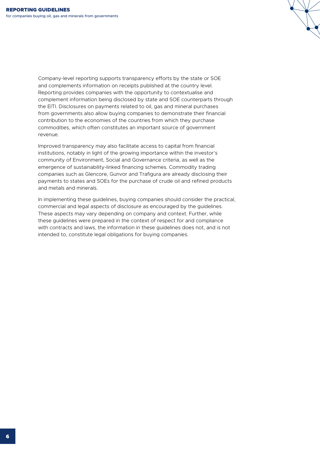

Company-level reporting supports transparency efforts by the state or SOE and complements information on receipts published at the country level. Reporting provides companies with the opportunity to contextualise and complement information being disclosed by state and SOE counterparts through the EITI. Disclosures on payments related to oil, gas and mineral purchases from governments also allow buying companies to demonstrate their financial contribution to the economies of the countries from which they purchase commodities, which often constitutes an important source of government revenue.

Improved transparency may also facilitate access to capital from financial institutions, notably in light of the growing importance within the investor's community of Environment, Social and Governance criteria, as well as the emergence of sustainability-linked financing schemes. Commodity trading companies such as Glencore, Gunvor and Trafigura are already disclosing their payments to states and SOEs for the purchase of crude oil and refined products and metals and minerals.

In implementing these guidelines, buying companies should consider the practical, commercial and legal aspects of disclosure as encouraged by the guidelines. These aspects may vary depending on company and context. Further, while these guidelines were prepared in the context of respect for and compliance with contracts and laws, the information in these guidelines does not, and is not intended to, constitute legal obligations for buying companies.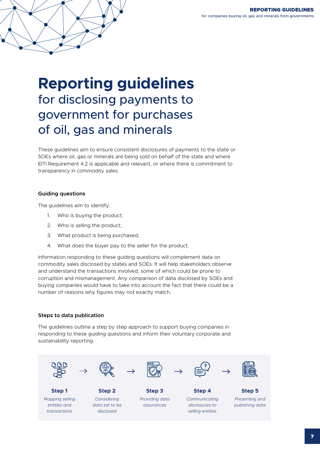### **Reporting guidelines** for disclosing payments to government for purchases of oil, gas and minerals

These guidelines aim to ensure consistent disclosures of payments to the state or SOEs where oil, gas or minerals are being sold on behalf of the state and where EITI Requirement 4.2 is applicable and relevant, or where there is commitment to transparency in commodity sales.

#### **Guiding questions**

The guidelines aim to identify:

- 1. Who is buying the product;
- 2. Who is selling the product;
- 3. What product is being purchased;
- 4. What does the buyer pay to the seller for the product.

Information responding to these guiding questions will complement data on commodity sales disclosed by states and SOEs. It will help stakeholders observe and understand the transactions involved, some of which could be prone to corruption and mismanagement. Any comparison of data disclosed by SOEs and buying companies would have to take into account the fact that there could be a number of reasons why figures may not exactly match.

#### **Steps to data publication**

The guidelines outline a step by step approach to support buying companies in responding to these guiding questions and inform their voluntary corporate and sustainability reporting.

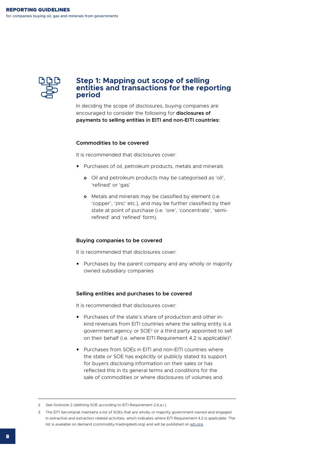

#### **Step 1: Mapping out scope of selling entities and transactions for the reporting period**

In deciding the scope of disclosures, buying companies are encouraged to consider the following for **disclosures of payments to selling entities in EITI and non-EITI countries:**

#### **Commodities to be covered**

It is recommended that disclosures cover:

- Purchases of oil, petroleum products, metals and minerals
	- Oil and petroleum products may be categorised as 'oil', 'refined' or 'gas'
	- Metals and minerals may be classified by element (i.e. 'copper', 'zinc' etc.), and may be further classified by their state at point of purchase (i.e. 'ore', 'concentrate', 'semirefined' and 'refined' form).

#### **Buying companies to be covered**

It is recommended that disclosures cover:

• Purchases by the parent company and any wholly or majority owned subsidiary companies

#### **Selling entities and purchases to be covered**

It is recommended that disclosures cover:

- Purchases of the state's share of production and other inkind revenues from EITI countries where the selling entity is a government agency or SOE2 or a third party appointed to sell on their behalf (i.e. where EITI Requirement 4.2 is applicable)<sup>3</sup>.
- Purchases from SOEs in EITI and non-EITI countries where the state or SOE has explicitly or publicly stated its support for buyers disclosing information on their sales or has reflected this in its general terms and conditions for the sale of commodities or where disclosures of volumes and

<sup>2</sup> See footnote 2 (defining SOE according to EITI Requirement 2.6.a.i.).

<sup>3</sup> The EITI Secretariat maintains a list of SOEs that are wholly or majority government-owned and engaged in extractive and extraction related activities, which indicates where EITI Requirement 4.2 is applicable. The list is available on demand ([commodity-trading@eiti.org](mailto:commodity-trading@eiti.org)) and will be published on [eiti.org](http://eiti.org).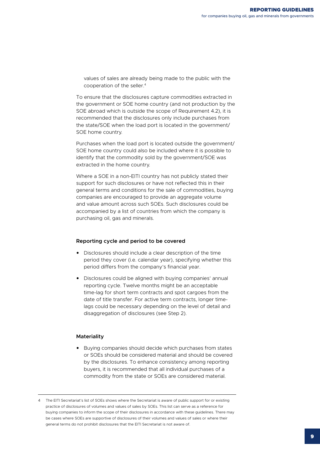values of sales are already being made to the public with the cooperation of the seller.4

To ensure that the disclosures capture commodities extracted in the government or SOE home country (and not production by the SOE abroad which is outside the scope of Requirement 4.2), it is recommended that the disclosures only include purchases from the state/SOE when the load port is located in the government/ SOE home country.

Purchases when the load port is located outside the government/ SOE home country could also be included where it is possible to identify that the commodity sold by the government/SOE was extracted in the home country.

Where a SOE in a non-EITI country has not publicly stated their support for such disclosures or have not reflected this in their general terms and conditions for the sale of commodities, buying companies are encouraged to provide an aggregate volume and value amount across such SOEs. Such disclosures could be accompanied by a list of countries from which the company is purchasing oil, gas and minerals.

#### **Reporting cycle and period to be covered**

- Disclosures should include a clear description of the time period they cover (i.e. calendar year), specifying whether this period differs from the company's financial year.
- Disclosures could be aligned with buying companies' annual reporting cycle. Twelve months might be an acceptable time-lag for short term contracts and spot cargoes from the date of title transfer. For active term contracts, longer timelags could be necessary depending on the level of detail and disaggregation of disclosures (see Step 2).

#### **Materiality**

• Buying companies should decide which purchases from states or SOEs should be considered material and should be covered by the disclosures. To enhance consistency among reporting buyers, it is recommended that all individual purchases of a commodity from the state or SOEs are considered material.

<sup>4</sup> The EITI Secretariat's list of SOEs shows where the Secretariat is aware of public support for or existing practice of disclosures of volumes and values of sales by SOEs. This list can serve as a reference for buying companies to inform the scope of their disclosures in accordance with these guidelines. There may be cases where SOEs are supportive of disclosures of their volumes and values of sales or where their general terms do not prohibit disclosures that the EITI Secretariat is not aware of.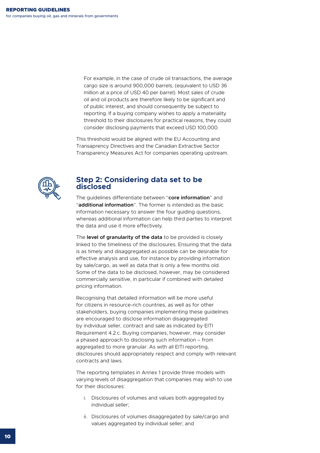For example, in the case of crude oil transactions, the average cargo size is around 900,000 barrels, (equivalent to USD 36 million at a price of USD 40 per barrel). Most sales of crude oil and oil products are therefore likely to be significant and of public interest, and should consequently be subject to reporting. If a buying company wishes to apply a materiality threshold to their disclosures for practical reasons, they could consider disclosing payments that exceed USD 100,000.

This threshold would be aligned with the EU Accounting and Transaprency Directives and the Canadian Extractive Sector Transparency Measures Act for companies operating upstream.



#### **Step 2: Considering data set to be disclosed**

The guidelines differentiate between "**core information**" and "**additional information**". The former is intended as the basic information necessary to answer the four guiding questions, whereas additional information can help third parties to interpret the data and use it more effectively.

The **level of granularity of the data** to be provided is closely linked to the timeliness of the disclosures. Ensuring that the data is as timely and disaggregated as possible can be desirable for effective analysis and use, for instance by providing information by sale/cargo, as well as data that is only a few months old. Some of the data to be disclosed, however, may be considered commercially sensitive, in particular if combined with detailed pricing information.

Recognising that detailed information will be more useful for citizens in resource-rich countries, as well as for other stakeholders, buying companies implementing these guidelines are encouraged to disclose information disaggregated by individual seller, contract and sale as indicated by EITI Requirement 4.2.c. Buying companies, however, may consider a phased approach to disclosing such information – from aggregated to more granular. As with all EITI reporting, disclosures should appropriately respect and comply with relevant contracts and laws.

The reporting templates in Annex 1 provide three models with varying levels of disaggregation that companies may wish to use for their disclosures:

- i. Disclosures of volumes and values both aggregated by individual seller;
- ii. Disclosures of volumes disaggregated by sale/cargo and values aggregated by individual seller; and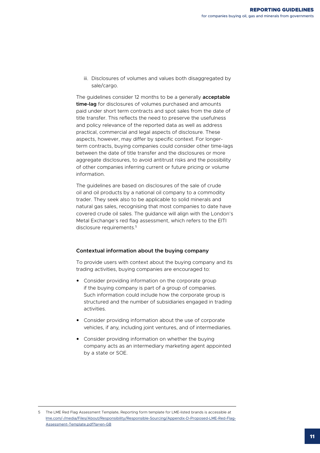iii. Disclosures of volumes and values both disaggregated by sale/cargo.

The guidelines consider 12 months to be a generally **acceptable time-lag** for disclosures of volumes purchased and amounts paid under short term contracts and spot sales from the date of title transfer. This reflects the need to preserve the usefulness and policy relevance of the reported data as well as address practical, commercial and legal aspects of disclosure. These aspects, however, may differ by specific context. For longerterm contracts, buying companies could consider other time-lags between the date of title transfer and the disclosures or more aggregate disclosures, to avoid antitrust risks and the possibility of other companies inferring current or future pricing or volume information.

The guidelines are based on disclosures of the sale of crude oil and oil products by a national oil company to a commodity trader. They seek also to be applicable to solid minerals and natural gas sales, recognising that most companies to date have covered crude oil sales. The guidance will align with the London's Metal Exchange's red flag assessment, which refers to the EITI disclosure requirements.<sup>5</sup>

#### **Contextual information about the buying company**

To provide users with context about the buying company and its trading activities, buying companies are encouraged to:

- Consider providing information on the corporate group if the buying company is part of a group of companies. Such information could include how the corporate group is structured and the number of subsidiaries engaged in trading activities.
- Consider providing information about the use of corporate vehicles, if any, including joint ventures, and of intermediaries.
- Consider providing information on whether the buying company acts as an intermediary marketing agent appointed by a state or SOE.

<sup>5</sup> The LME Red Flag Assessment Template, Reporting form template for LME-listed brands is accessible at [lme.com/-/media/Files/About/Responsibility/Responsible-Sourcing/Appendix-D-Proposed-LME-Red-Flag-](https://www.lme.com/-/media/Files/About/Responsibility/Responsible-Sourcing/Appendix-D-Proposed-LME-Red-Flag-Assessment-Template.pdf?la=en-GB)[Assessment-Template.pdf?la=en-GB](https://www.lme.com/-/media/Files/About/Responsibility/Responsible-Sourcing/Appendix-D-Proposed-LME-Red-Flag-Assessment-Template.pdf?la=en-GB)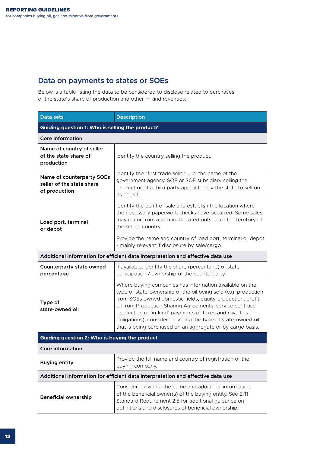### **Data on payments to states or SOEs**

Below is a table listing the data to be considered to disclose related to purchases of the state's share of production and other in-kind revenues.

| Data sets                                                                       | <b>Description</b>                                                                                                                                                                                                                                                                                                                                                                                                                           |  |
|---------------------------------------------------------------------------------|----------------------------------------------------------------------------------------------------------------------------------------------------------------------------------------------------------------------------------------------------------------------------------------------------------------------------------------------------------------------------------------------------------------------------------------------|--|
| Guiding question 1: Who is selling the product?                                 |                                                                                                                                                                                                                                                                                                                                                                                                                                              |  |
| Core information                                                                |                                                                                                                                                                                                                                                                                                                                                                                                                                              |  |
| Name of country of seller<br>of the state share of<br>production                | Identify the country selling the product.                                                                                                                                                                                                                                                                                                                                                                                                    |  |
| Name of counterparty SOEs<br>seller of the state share<br>of production         | Identify the "first trade seller", i.e. the name of the<br>government agency, SOE or SOE subsidiary selling the<br>product or of a third party appointed by the state to sell on<br>its behalf.                                                                                                                                                                                                                                              |  |
| Load port, terminal<br>or depot                                                 | Identify the point of sale and establish the location where<br>the necessary paperwork checks have occurred. Some sales<br>may occur from a terminal located outside of the territory of<br>the selling country.<br>Provide the name and country of load port, terminal or depot                                                                                                                                                             |  |
|                                                                                 | - mainly relevant if disclosure by sale/cargo.                                                                                                                                                                                                                                                                                                                                                                                               |  |
| Additional information for efficient data interpretation and effective data use |                                                                                                                                                                                                                                                                                                                                                                                                                                              |  |
| Counterparty state owned<br>percentage                                          | If available, identify the share (percentage) of state<br>participation / ownership of the counterparty.                                                                                                                                                                                                                                                                                                                                     |  |
| Type of<br>state-owned oil                                                      | Where buying companies has information available on the<br>type of state-ownership of the oil being sold (e.g. production<br>from SOEs owned domestic fields, equity production, profit<br>oil from Production Sharing Agreements, service contract<br>production or 'in-kind' payments of taxes and royalties<br>obligations), consider providing the type of state-owned oil<br>that is being purchased on an aggregate or by cargo basis. |  |
| Guiding question 2: Who is buying the product                                   |                                                                                                                                                                                                                                                                                                                                                                                                                                              |  |
| Core information                                                                |                                                                                                                                                                                                                                                                                                                                                                                                                                              |  |
| <b>Buying entity</b>                                                            | Provide the full name and country of registration of the<br>buying company.                                                                                                                                                                                                                                                                                                                                                                  |  |
| Additional information for efficient data interpretation and effective data use |                                                                                                                                                                                                                                                                                                                                                                                                                                              |  |
| <b>Beneficial ownership</b>                                                     | Consider providing the name and additional information<br>of the beneficial owner(s) of the buying entity. See EITI<br>Standard Requirement 2.5 for additional guidance on<br>definitions and disclosures of beneficial ownership.                                                                                                                                                                                                           |  |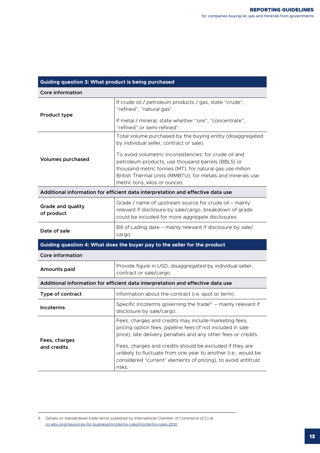| Guiding question 3: What product is being purchased<br><b>Core information</b>  |                                                                                                                                                                                                                                                                                                                                                                                                 |  |
|---------------------------------------------------------------------------------|-------------------------------------------------------------------------------------------------------------------------------------------------------------------------------------------------------------------------------------------------------------------------------------------------------------------------------------------------------------------------------------------------|--|
|                                                                                 |                                                                                                                                                                                                                                                                                                                                                                                                 |  |
| <b>Volumes purchased</b>                                                        | Total volume purchased by the buying entity (disaggregated<br>by individual seller, contract or sale).<br>To avoid volumetric inconsistencies: for crude oil and<br>petroleum products, use thousand barrels (BBLS) or<br>thousand metric tonnes (MT); for natural gas use million<br>British Thermal Units (MMBTU); for metals and minerals use<br>metric tons, kilos or ounces.               |  |
| Additional information for efficient data interpretation and effective data use |                                                                                                                                                                                                                                                                                                                                                                                                 |  |
| <b>Grade and quality</b><br>of product                                          | Grade / name of upstream source for crude oil - mainly<br>relevant if disclosure by sale/cargo, breakdown of grade<br>could be included for more aggregate disclosures.                                                                                                                                                                                                                         |  |
| Date of sale                                                                    | Bill of Lading date - mainly relevant if disclosure by sale/<br>cargo.                                                                                                                                                                                                                                                                                                                          |  |
|                                                                                 | Guiding question 4: What does the buyer pay to the seller for the product                                                                                                                                                                                                                                                                                                                       |  |
| <b>Core information</b>                                                         |                                                                                                                                                                                                                                                                                                                                                                                                 |  |
| <b>Amounts paid</b>                                                             | Provide figure in USD, disaggregated by individual seller,<br>contract or sale/cargo.                                                                                                                                                                                                                                                                                                           |  |
|                                                                                 | Additional information for efficient data interpretation and effective data use                                                                                                                                                                                                                                                                                                                 |  |
| Type of contract                                                                | Information about the contract (i.e. spot or term).                                                                                                                                                                                                                                                                                                                                             |  |
| <b>Incoterms</b>                                                                | Specific Incoterms governing the trade <sup>6</sup> - mainly relevant if<br>disclosure by sale/cargo.                                                                                                                                                                                                                                                                                           |  |
| Fees, charges<br>and credits                                                    | Fees, charges and credits may include marketing fees,<br>pricing option fees, pipeline fees (if not included in sale<br>price), late delivery penalties and any other fees or credits.<br>Fees, charges and credits should be excluded if they are<br>unlikely to fluctuate from one year to another (i.e., would be<br>considered "current" elements of pricing), to avoid antitrust<br>risks. |  |

6 Details on standardised trade terms published by International Chamber of Commerce (ICC) at [iccwbo.org/resources-for-business/incoterms-rules/incoterms-rules-2010](https://iccwbo.org/resources-for-business/incoterms-rules/incoterms-rules-2010/)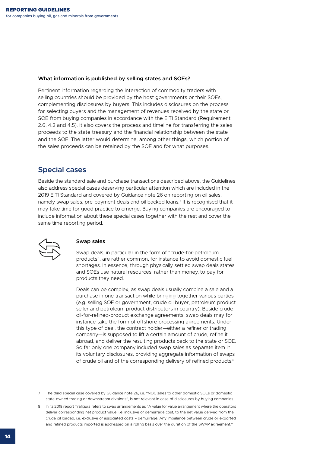#### **What information is published by selling states and SOEs?**

Pertinent information regarding the interaction of commodity traders with selling countries should be provided by the host governments or their SOEs, complementing disclosures by buyers. This includes disclosures on the process for selecting buyers and the management of revenues received by the state or SOE from buying companies in accordance with the EITI Standard (Requirement 2.6, 4.2 and 4.5). It also covers the process and timeline for transferring the sales proceeds to the state treasury and the financial relationship between the state and the SOE. The latter would determine, among other things, which portion of the sales proceeds can be retained by the SOE and for what purposes.

#### **Special cases**

Beside the standard sale and purchase transactions described above, the Guidelines also address special cases deserving particular attention which are included in the 2019 EITI Standard and covered by Guidance note 26 on reporting on oil sales, namely swap sales, pre-payment deals and oil backed loans.7 It is recognised that it may take time for good practice to emerge. Buying companies are encouraged to include information about these special cases together with the rest and cover the same time reporting period.



#### **Swap sales**

Swap deals, in particular in the form of "crude-for-petroleum products", are rather common, for instance to avoid domestic fuel shortages. In essence, through physically settled swap deals states and SOEs use natural resources, rather than money, to pay for products they need.

Deals can be complex, as swap deals usually combine a sale and a purchase in one transaction while bringing together various parties (e.g. selling SOE or government, crude oil buyer, petroleum product seller and petroleum product distributors in country). Beside crudeoil-for-refined-product exchange agreements, swap deals may for instance take the form of offshore processing agreements. Under this type of deal, the contract holder—either a refiner or trading company—is supposed to lift a certain amount of crude, refine it abroad, and deliver the resulting products back to the state or SOE. So far only one company included swap sales as separate item in its voluntary disclosures, providing aggregate information of swaps of crude oil and of the corresponding delivery of refined products.<sup>8</sup>

7 The third special case covered by Guidance note 26, i.e. "NOC sales to other domestic SOEs or domestic state-owned trading or downstream divisions", is not relevant in case of disclosures by buying companies.

8 In its 2018 report Trafigura refers to swap arrangements as "A value for value arrangement where the operators deliver corresponding net product value, i.e. inclusive of demurrage cost, to the net value derived from the crude oil loaded, i.e. exclusive of associated costs – demurrage. Any imbalance between crude oil exported and refined products imported is addressed on a rolling basis over the duration of the SWAP agreement."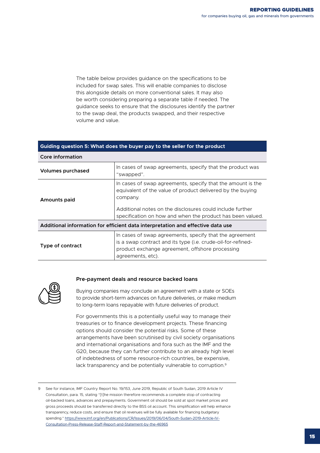The table below provides guidance on the specifications to be included for swap sales. This will enable companies to disclose this alongside details on more conventional sales. It may also be worth considering preparing a separate table if needed. The guidance seeks to ensure that the disclosures identify the partner to the swap deal, the products swapped, and their respective volume and value.

| Guiding question 5: What does the buyer pay to the seller for the product       |                                                                                                                                                                                                                                                                  |  |
|---------------------------------------------------------------------------------|------------------------------------------------------------------------------------------------------------------------------------------------------------------------------------------------------------------------------------------------------------------|--|
| Core information                                                                |                                                                                                                                                                                                                                                                  |  |
| Volumes purchased                                                               | In cases of swap agreements, specify that the product was<br>"swapped".                                                                                                                                                                                          |  |
| Amounts paid                                                                    | In cases of swap agreements, specify that the amount is the<br>equivalent of the value of product delivered by the buying<br>company.<br>Additional notes on the disclosures could include further<br>specification on how and when the product has been valued. |  |
| Additional information for efficient data interpretation and effective data use |                                                                                                                                                                                                                                                                  |  |
| Type of contract                                                                | In cases of swap agreements, specify that the agreement<br>is a swap contract and its type (i.e. crude-oil-for-refined-<br>product exchange agreement, offshore processing<br>agreements, etc).                                                                  |  |



#### **Pre-payment deals and resource backed loans**

Buying companies may conclude an agreement with a state or SOEs to provide short-term advances on future deliveries, or make medium to long-term loans repayable with future deliveries of product.

For governments this is a potentially useful way to manage their treasuries or to finance development projects. These financing options should consider the potential risks. Some of these arrangements have been scrutinised by civil society organisations and international organisations and fora such as the IMF and the G20, because they can further contribute to an already high level of indebtedness of some resource-rich countries, be expensive, lack transparency and be potentially vulnerable to corruption.<sup>9</sup>

9 See for instance, IMF Country Report No. 19/153, June 2019, Republic of South Sudan, 2019 Article IV Consultation, para. 15, stating "[t]he mission therefore recommends a complete stop of contracting oil-backed loans, advances and prepayments. Government oil should be sold at spot market prices and gross proceeds should be transferred directly to the BSS oil account. This simplification will help enhance transparency, reduce costs, and ensure that oil revenues will be fully available for financing budgetary spending." [https://www.imf.org/en/Publications/CR/Issues/2019/06/04/South-Sudan-2019-Article-IV-](https://www.imf.org/en/Publications/CR/Issues/2019/06/04/South-Sudan-2019-Article-IV-Consultation-Press-Release-Staff-Report-and-Statement-by-the-46965)[Consultation-Press-Release-Staff-Report-and-Statement-by-the-46965](https://www.imf.org/en/Publications/CR/Issues/2019/06/04/South-Sudan-2019-Article-IV-Consultation-Press-Release-Staff-Report-and-Statement-by-the-46965)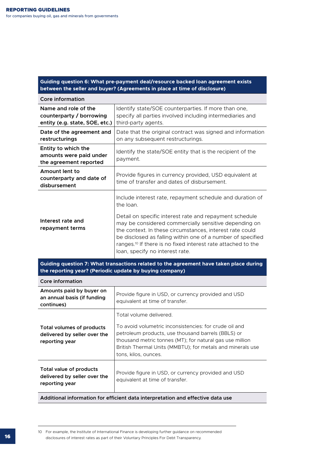#### **Guiding question 6: What pre-payment deal/resource backed loan agreement exists between the seller and buyer? (Agreements in place at time of disclosure)**

| <b>Core information</b>                                                            |                                                                                                                                                                                                                                                                                                                                                            |  |
|------------------------------------------------------------------------------------|------------------------------------------------------------------------------------------------------------------------------------------------------------------------------------------------------------------------------------------------------------------------------------------------------------------------------------------------------------|--|
| Name and role of the<br>counterparty / borrowing<br>entity (e.g. state, SOE, etc.) | Identify state/SOE counterparties. If more than one,<br>specify all parties involved including intermediaries and<br>third-party agents.                                                                                                                                                                                                                   |  |
| Date of the agreement and<br>restructurings                                        | Date that the original contract was signed and information<br>on any subsequent restructurings.                                                                                                                                                                                                                                                            |  |
| Entity to which the<br>amounts were paid under<br>the agreement reported           | Identify the state/SOE entity that is the recipient of the<br>payment.                                                                                                                                                                                                                                                                                     |  |
| <b>Amount lent to</b><br>counterparty and date of<br>disbursement                  | Provide figures in currency provided, USD equivalent at<br>time of transfer and dates of disbursement.                                                                                                                                                                                                                                                     |  |
|                                                                                    | Include interest rate, repayment schedule and duration of<br>the loan.                                                                                                                                                                                                                                                                                     |  |
| Interest rate and<br>repayment terms                                               | Detail on specific interest rate and repayment schedule<br>may be considered commercially sensitive depending on<br>the context. In these circumstances, interest rate could<br>be disclosed as falling within one of a number of specified<br>ranges. <sup>10</sup> If there is no fixed interest rate attached to the<br>loan, specify no interest rate. |  |
|                                                                                    |                                                                                                                                                                                                                                                                                                                                                            |  |
| the reporting year? (Periodic update by buying company)                            | Guiding question 7: What transactions related to the agreement have taken place during                                                                                                                                                                                                                                                                     |  |
| Core information                                                                   |                                                                                                                                                                                                                                                                                                                                                            |  |
| Amounts paid by buyer on<br>an annual basis (if funding<br>continues)              | Provide figure in USD, or currency provided and USD<br>equivalent at time of transfer.                                                                                                                                                                                                                                                                     |  |
|                                                                                    | Total volume delivered.                                                                                                                                                                                                                                                                                                                                    |  |
| <b>Total volumes of products</b><br>delivered by seller over the<br>reporting year | To avoid volumetric inconsistencies: for crude oil and<br>petroleum products, use thousand barrels (BBLS) or<br>thousand metric tonnes (MT); for natural gas use million<br>British Thermal Units (MMBTU); for metals and minerals use<br>tons, kilos, ounces.                                                                                             |  |
| Total value of products<br>delivered by seller over the<br>reporting year          | Provide figure in USD, or currency provided and USD<br>equivalent at time of transfer.                                                                                                                                                                                                                                                                     |  |

**Additional information for efficient data interpretation and effective data use**

<sup>10</sup> For example, the Institute of International Finance is developing further guidance on recommended disclosures of interest rates as part of their Voluntary Principles For Debt Transparency.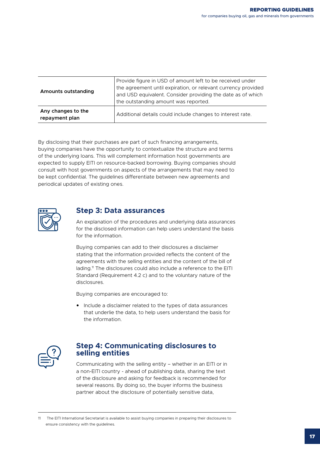| <b>Amounts outstanding</b>           | Provide figure in USD of amount left to be received under<br>the agreement until expiration, or relevant currency provided<br>and USD equivalent. Consider providing the date as of which<br>the outstanding amount was reported. |
|--------------------------------------|-----------------------------------------------------------------------------------------------------------------------------------------------------------------------------------------------------------------------------------|
| Any changes to the<br>repayment plan | Additional details could include changes to interest rate.                                                                                                                                                                        |

By disclosing that their purchases are part of such financing arrangements, buying companies have the opportunity to contextualize the structure and terms of the underlying loans. This will complement information host governments are expected to supply EITI on resource-backed borrowing. Buying companies should consult with host governments on aspects of the arrangements that may need to be kept confidential. The guidelines differentiate between new agreements and periodical updates of existing ones.



#### **Step 3: Data assurances**

An explanation of the procedures and underlying data assurances for the disclosed information can help users understand the basis for the information.

Buying companies can add to their disclosures a disclaimer stating that the information provided reflects the content of the agreements with the selling entities and the content of the bill of lading.<sup>11</sup> The disclosures could also include a reference to the EITI Standard (Requirement 4.2 c) and to the voluntary nature of the disclosures.

Buying companies are encouraged to:

• Include a disclaimer related to the types of data assurances that underlie the data, to help users understand the basis for the information.



#### **Step 4: Communicating disclosures to selling entities**

Communicating with the selling entity – whether in an EITI or in a non-EITI country - ahead of publishing data, sharing the text of the disclosure and asking for feedback is recommended for several reasons. By doing so, the buyer informs the business partner about the disclosure of potentially sensitive data,

<sup>11</sup> The EITI International Secretariat is available to assist buying companies in preparing their disclosures to ensure consistency with the guidelines.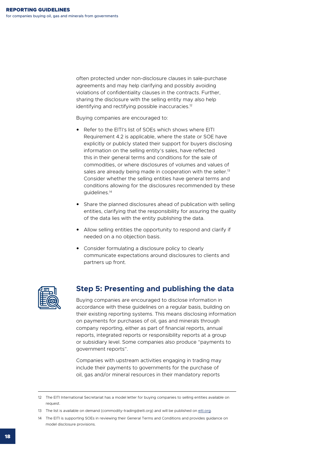often protected under non-disclosure clauses in sale-purchase agreements and may help clarifying and possibly avoiding violations of confidentiality clauses in the contracts. Further, sharing the disclosure with the selling entity may also help identifying and rectifying possible inaccuracies.<sup>12</sup>

Buying companies are encouraged to:

- Refer to the EITI's list of SOEs which shows where EITI Requirement 4.2 is applicable, where the state or SOE have explicitly or publicly stated their support for buyers disclosing information on the selling entity's sales, have reflected this in their general terms and conditions for the sale of commodities, or where disclosures of volumes and values of sales are already being made in cooperation with the seller.<sup>13</sup> Consider whether the selling entities have general terms and conditions allowing for the disclosures recommended by these guidelines.14
- Share the planned disclosures ahead of publication with selling entities, clarifying that the responsibility for assuring the quality of the data lies with the entity publishing the data.
- Allow selling entities the opportunity to respond and clarify if needed on a no objection basis.
- Consider formulating a disclosure policy to clearly communicate expectations around disclosures to clients and partners up front.



#### **Step 5: Presenting and publishing the data**

Buying companies are encouraged to disclose information in accordance with these guidelines on a regular basis, building on their existing reporting systems. This means disclosing information on payments for purchases of oil, gas and minerals through company reporting, either as part of financial reports, annual reports, integrated reports or responsibility reports at a group or subsidiary level. Some companies also produce "payments to government reports".

Companies with upstream activities engaging in trading may include their payments to governments for the purchase of oil, gas and/or mineral resources in their mandatory reports

<sup>12</sup> The EITI International Secretariat has a model letter for buying companies to selling entities available on request.

<sup>13</sup> The list is available on demand [\(commodity-trading@eiti.org\)](mailto:commodity-trading@eiti.org) and will be published on [eiti.org](http://eiti.org).

<sup>14</sup> The EITI is supporting SOEs in reviewing their General Terms and Conditions and provides guidance on model disclosure provisions.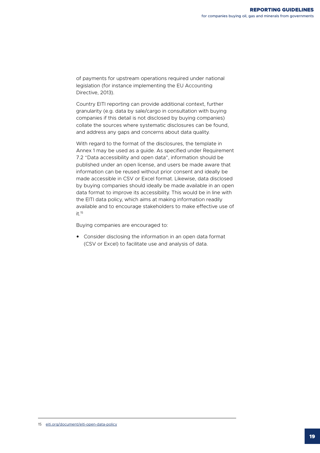of payments for upstream operations required under national legislation (for instance implementing the EU Accounting Directive, 2013).

Country EITI reporting can provide additional context, further granularity (e.g. data by sale/cargo in consultation with buying companies if this detail is not disclosed by buying companies) collate the sources where systematic disclosures can be found, and address any gaps and concerns about data quality.

With regard to the format of the disclosures, the template in Annex 1 may be used as a guide. As specified under Requirement 7.2 "Data accessibility and open data", information should be published under an open license, and users be made aware that information can be reused without prior consent and ideally be made accessible in CSV or Excel format. Likewise, data disclosed by buying companies should ideally be made available in an open data format to improve its accessibility. This would be in line with the EITI data policy, which aims at making information readily available and to encourage stakeholders to make effective use of it.15

Buying companies are encouraged to:

• Consider disclosing the information in an open data format (CSV or Excel) to facilitate use and analysis of data.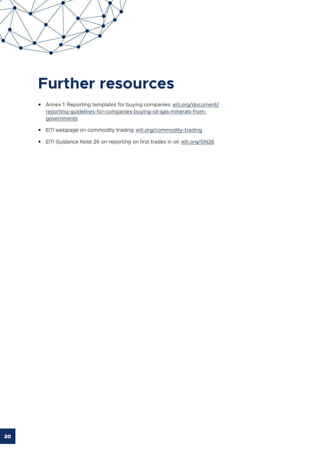### **Further resources**

- Annex 1: Reporting templates for buying companies: [eiti.org/document/](http://eiti.org/document/reporting-guidelines-for-companies-buying-oil-gas-minerals-from-governments) [reporting-guidelines-for-companies-buying-oil-gas-minerals-from](http://eiti.org/document/reporting-guidelines-for-companies-buying-oil-gas-minerals-from-governments)**[governments](http://eiti.org/document/reporting-guidelines-for-companies-buying-oil-gas-minerals-from-governments)**
- EITI webpage on commodity trading: [eiti.org/commodity-trading](http://eiti.org/commodity-trading)
- EITI Guidance Note 26 on reporting on first trades in oil: [eiti.org/GN26](http://eiti.org/GN26)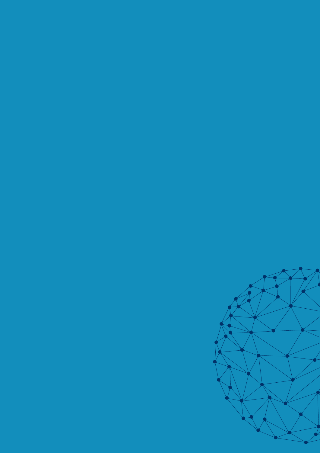